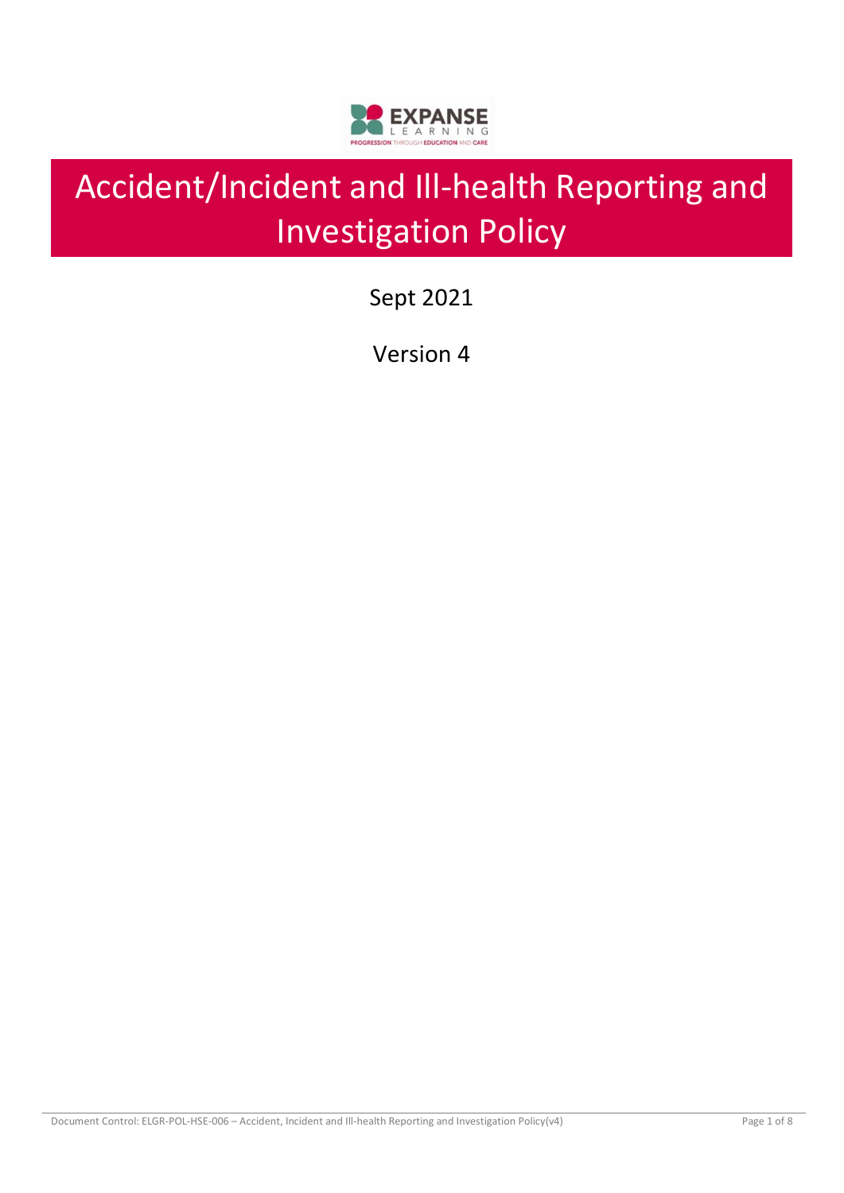

# Accident/Incident and Ill-health Reporting and Investigation Policy

Sept 2021

Version 4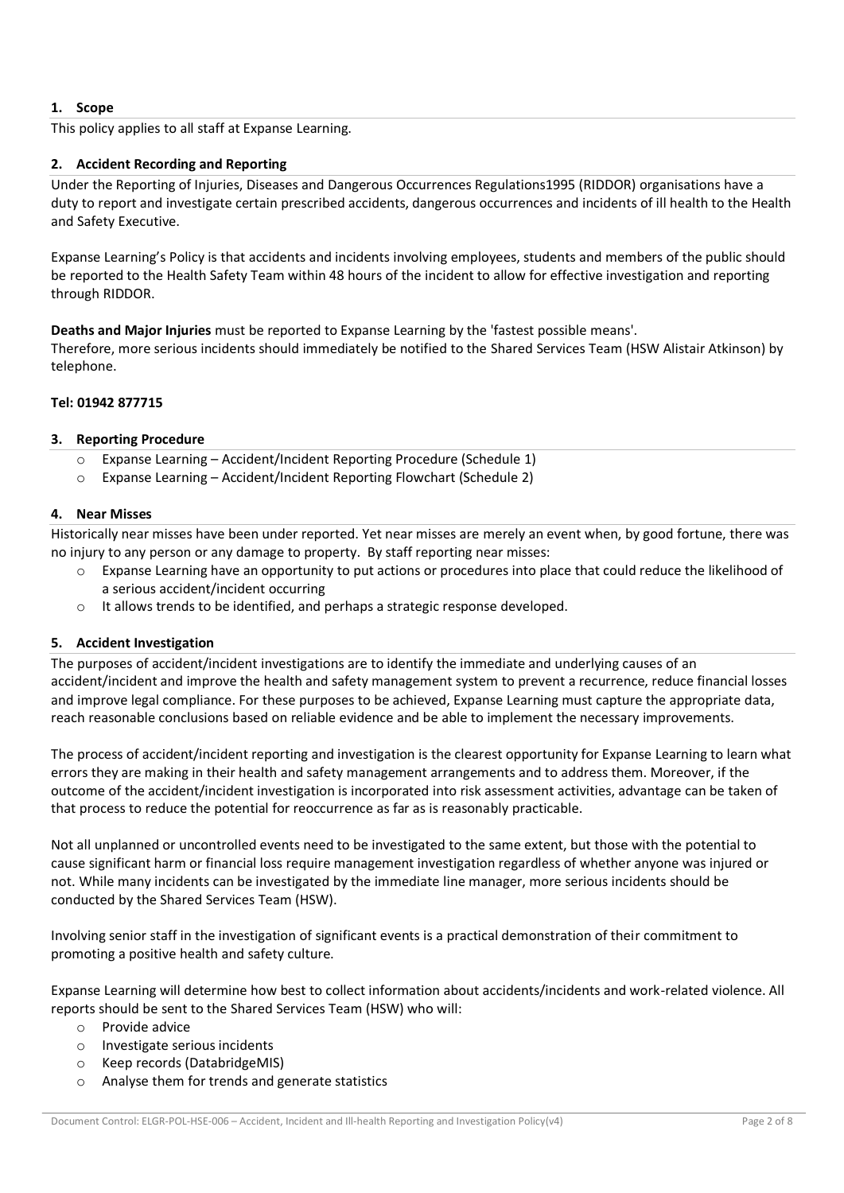# **1. Scope**

This policy applies to all staff at Expanse Learning.

# **2. Accident Recording and Reporting**

Under the Reporting of Injuries, Diseases and Dangerous Occurrences Regulations1995 (RIDDOR) organisations have a duty to report and investigate certain prescribed accidents, dangerous occurrences and incidents of ill health to the Health and Safety Executive.

Expanse Learning's Policy is that accidents and incidents involving employees, students and members of the public should be reported to the Health Safety Team within 48 hours of the incident to allow for effective investigation and reporting through RIDDOR.

**Deaths and Major Injuries** must be reported to Expanse Learning by the 'fastest possible means'.

Therefore, more serious incidents should immediately be notified to the Shared Services Team (HSW Alistair Atkinson) by telephone.

## **Tel: 01942 877715**

## **3. Reporting Procedure**

- o Expanse Learning Accident/Incident Reporting Procedure (Schedule 1)
- o Expanse Learning Accident/Incident Reporting Flowchart (Schedule 2)

### **4. Near Misses**

Historically near misses have been under reported. Yet near misses are merely an event when, by good fortune, there was no injury to any person or any damage to property. By staff reporting near misses:

- o Expanse Learning have an opportunity to put actions or procedures into place that could reduce the likelihood of a serious accident/incident occurring
- It allows trends to be identified, and perhaps a strategic response developed.

## **5. Accident Investigation**

The purposes of accident/incident investigations are to identify the immediate and underlying causes of an accident/incident and improve the health and safety management system to prevent a recurrence, reduce financial losses and improve legal compliance. For these purposes to be achieved, Expanse Learning must capture the appropriate data, reach reasonable conclusions based on reliable evidence and be able to implement the necessary improvements.

The process of accident/incident reporting and investigation is the clearest opportunity for Expanse Learning to learn what errors they are making in their health and safety management arrangements and to address them. Moreover, if the outcome of the accident/incident investigation is incorporated into risk assessment activities, advantage can be taken of that process to reduce the potential for reoccurrence as far as is reasonably practicable.

Not all unplanned or uncontrolled events need to be investigated to the same extent, but those with the potential to cause significant harm or financial loss require management investigation regardless of whether anyone was injured or not. While many incidents can be investigated by the immediate line manager, more serious incidents should be conducted by the Shared Services Team (HSW).

Involving senior staff in the investigation of significant events is a practical demonstration of their commitment to promoting a positive health and safety culture.

Expanse Learning will determine how best to collect information about accidents/incidents and work-related violence. All reports should be sent to the Shared Services Team (HSW) who will:

- o Provide advice
- o Investigate serious incidents
- o Keep records (DatabridgeMIS)
- o Analyse them for trends and generate statistics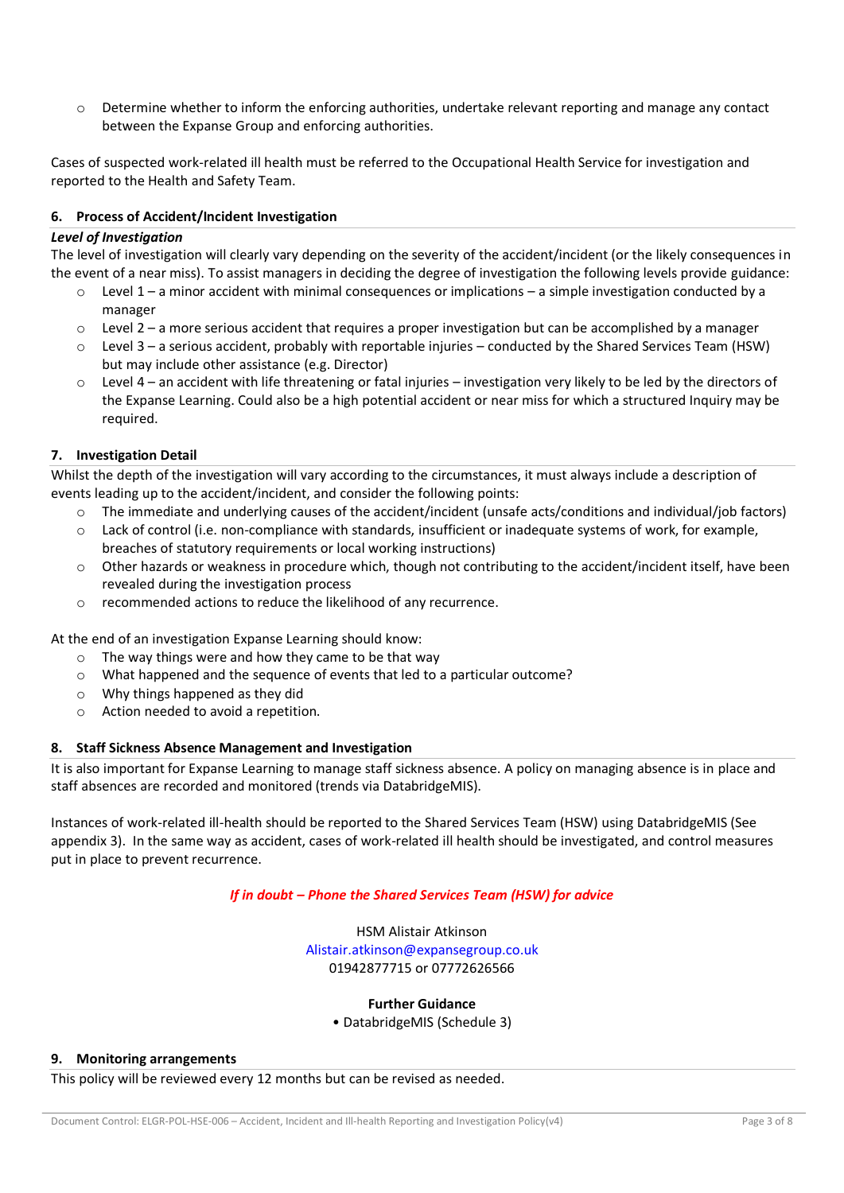$\circ$  Determine whether to inform the enforcing authorities, undertake relevant reporting and manage any contact between the Expanse Group and enforcing authorities.

Cases of suspected work-related ill health must be referred to the Occupational Health Service for investigation and reported to the Health and Safety Team.

## **6. Process of Accident/Incident Investigation**

#### *Level of Investigation*

The level of investigation will clearly vary depending on the severity of the accident/incident (or the likely consequences in the event of a near miss). To assist managers in deciding the degree of investigation the following levels provide guidance:

- $\circ$  Level 1 a minor accident with minimal consequences or implications a simple investigation conducted by a manager
- $\circ$  Level 2 a more serious accident that requires a proper investigation but can be accomplished by a manager
- o Level 3 a serious accident, probably with reportable injuries conducted by the Shared Services Team (HSW) but may include other assistance (e.g. Director)
- $\circ$  Level 4 an accident with life threatening or fatal injuries investigation very likely to be led by the directors of the Expanse Learning. Could also be a high potential accident or near miss for which a structured Inquiry may be required.

### **7. Investigation Detail**

Whilst the depth of the investigation will vary according to the circumstances, it must always include a description of events leading up to the accident/incident, and consider the following points:

- $\circ$  The immediate and underlying causes of the accident/incident (unsafe acts/conditions and individual/job factors)
- $\circ$  Lack of control (i.e. non-compliance with standards, insufficient or inadequate systems of work, for example, breaches of statutory requirements or local working instructions)
- $\circ$  Other hazards or weakness in procedure which, though not contributing to the accident/incident itself, have been revealed during the investigation process
- o recommended actions to reduce the likelihood of any recurrence.

At the end of an investigation Expanse Learning should know:

- o The way things were and how they came to be that way
- $\circ$  What happened and the sequence of events that led to a particular outcome?
- o Why things happened as they did
- o Action needed to avoid a repetition.

## **8. Staff Sickness Absence Management and Investigation**

It is also important for Expanse Learning to manage staff sickness absence. A policy on managing absence is in place and staff absences are recorded and monitored (trends via DatabridgeMIS).

Instances of work-related ill-health should be reported to the Shared Services Team (HSW) using DatabridgeMIS (See appendix 3). In the same way as accident, cases of work-related ill health should be investigated, and control measures put in place to prevent recurrence.

## *If in doubt – Phone the Shared Services Team (HSW) for advice*

HSM Alistair Atkinson Alistair.atkinson@expansegroup.co.uk 01942877715 or 07772626566

## **Further Guidance**

• DatabridgeMIS (Schedule 3)

#### **9. Monitoring arrangements**

This policy will be reviewed every 12 months but can be revised as needed.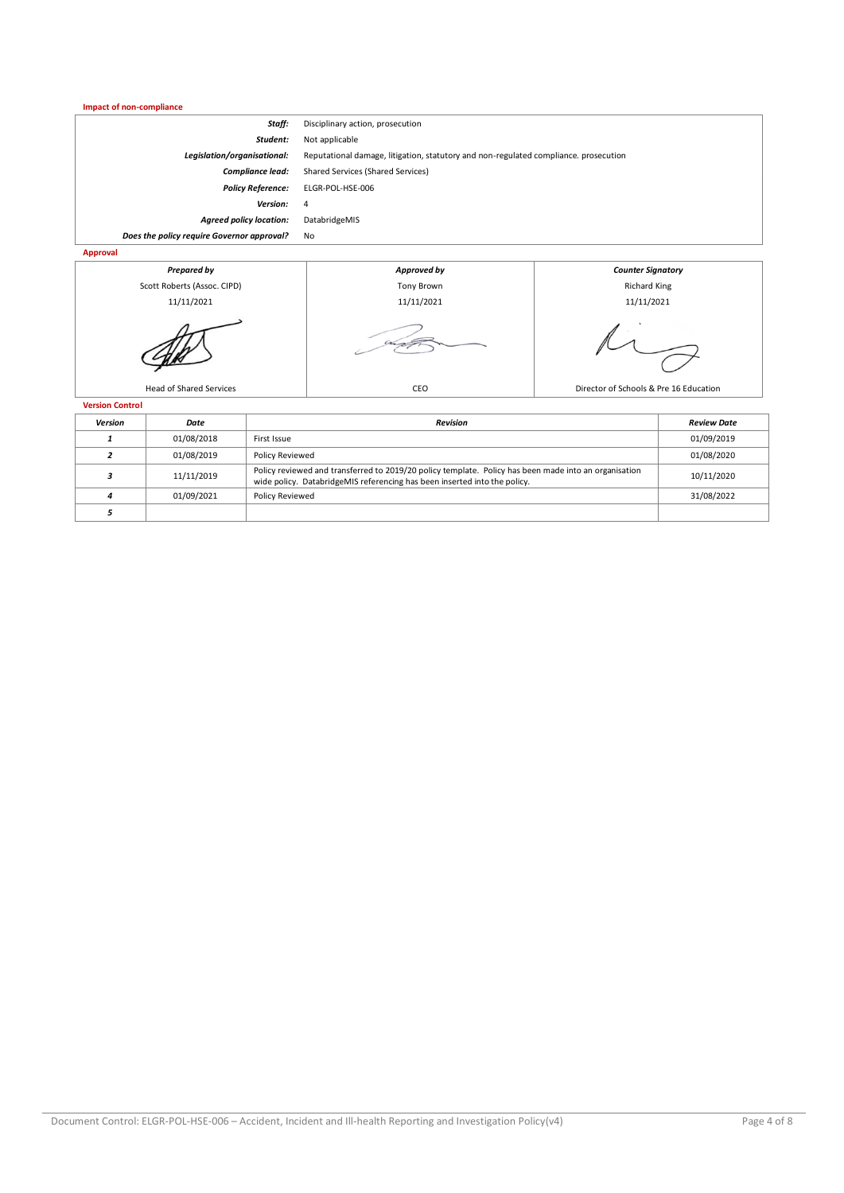| Impact of non-compliance                   |                                                                                      |                          |  |  |
|--------------------------------------------|--------------------------------------------------------------------------------------|--------------------------|--|--|
| Staff:                                     | Disciplinary action, prosecution                                                     |                          |  |  |
| Student:                                   | Not applicable                                                                       |                          |  |  |
| Legislation/organisational:                | Reputational damage, litigation, statutory and non-regulated compliance. prosecution |                          |  |  |
| Compliance lead:                           | Shared Services (Shared Services)                                                    |                          |  |  |
| <b>Policy Reference:</b>                   | ELGR-POL-HSE-006                                                                     |                          |  |  |
| Version:                                   | 4                                                                                    |                          |  |  |
| <b>Agreed policy location:</b>             | DatabridgeMIS                                                                        |                          |  |  |
| Does the policy require Governor approval? | No                                                                                   |                          |  |  |
| Approval                                   |                                                                                      |                          |  |  |
| <b>Prepared by</b>                         | Approved by                                                                          | <b>Counter Signatory</b> |  |  |
| Scott Roberts (Assoc. CIPD)                | Tony Brown                                                                           | <b>Richard King</b>      |  |  |
| 11/11/2021                                 | 11/11/2021                                                                           | 11/11/2021               |  |  |
|                                            |                                                                                      |                          |  |  |







Head of Shared Services **CEO** CEO Director of Schools & Pre 16 Education

**Version Control**

| <b>Version</b> | Date       | Revision                                                                                                                                                                           | <b>Review Date</b> |
|----------------|------------|------------------------------------------------------------------------------------------------------------------------------------------------------------------------------------|--------------------|
|                | 01/08/2018 | First Issue                                                                                                                                                                        | 01/09/2019         |
|                | 01/08/2019 | <b>Policy Reviewed</b>                                                                                                                                                             | 01/08/2020         |
|                | 11/11/2019 | Policy reviewed and transferred to 2019/20 policy template. Policy has been made into an organisation<br>wide policy. DatabridgeMIS referencing has been inserted into the policy. | 10/11/2020         |
|                | 01/09/2021 | Policy Reviewed                                                                                                                                                                    | 31/08/2022         |
|                |            |                                                                                                                                                                                    |                    |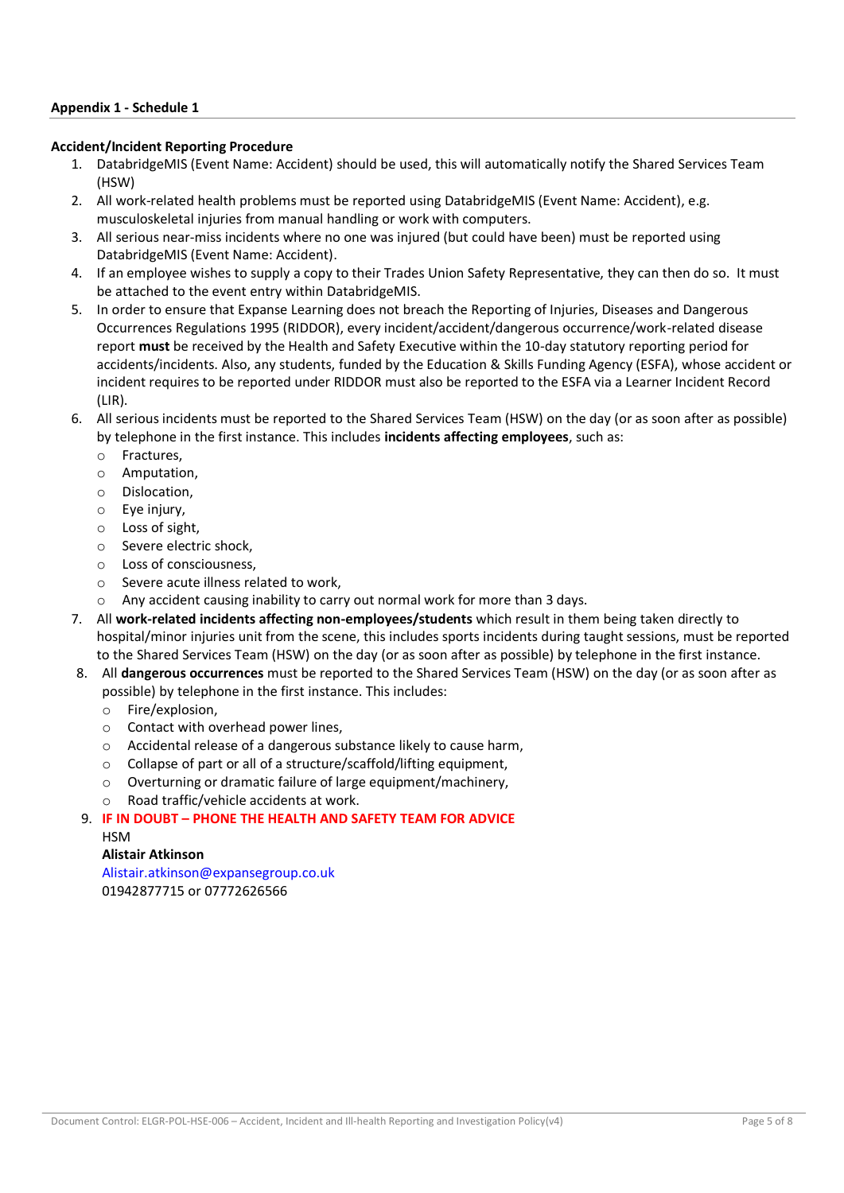## **Appendix 1 - Schedule 1**

#### **Accident/Incident Reporting Procedure**

- 1. DatabridgeMIS (Event Name: Accident) should be used, this will automatically notify the Shared Services Team (HSW)
- 2. All work-related health problems must be reported using DatabridgeMIS (Event Name: Accident), e.g. musculoskeletal injuries from manual handling or work with computers.
- 3. All serious near-miss incidents where no one was injured (but could have been) must be reported using DatabridgeMIS (Event Name: Accident).
- 4. If an employee wishes to supply a copy to their Trades Union Safety Representative, they can then do so. It must be attached to the event entry within DatabridgeMIS.
- 5. In order to ensure that Expanse Learning does not breach the Reporting of Injuries, Diseases and Dangerous Occurrences Regulations 1995 (RIDDOR), every incident/accident/dangerous occurrence/work-related disease report **must** be received by the Health and Safety Executive within the 10-day statutory reporting period for accidents/incidents. Also, any students, funded by the Education & Skills Funding Agency (ESFA), whose accident or incident requires to be reported under RIDDOR must also be reported to the ESFA via a Learner Incident Record (LIR).
- 6. All serious incidents must be reported to the Shared Services Team (HSW) on the day (or as soon after as possible) by telephone in the first instance. This includes **incidents affecting employees**, such as:
	- o Fractures,
	- o Amputation,
	- o Dislocation,
	- $\circ$  Eve injury.
	- o Loss of sight,
	- o Severe electric shock,
	- o Loss of consciousness,
	- o Severe acute illness related to work,
	- o Any accident causing inability to carry out normal work for more than 3 days.
- 7. All **work-related incidents affecting non-employees/students** which result in them being taken directly to hospital/minor injuries unit from the scene, this includes sports incidents during taught sessions, must be reported to the Shared Services Team (HSW) on the day (or as soon after as possible) by telephone in the first instance.
- 8. All **dangerous occurrences** must be reported to the Shared Services Team (HSW) on the day (or as soon after as possible) by telephone in the first instance. This includes:
	- o Fire/explosion,
	- o Contact with overhead power lines,
	- o Accidental release of a dangerous substance likely to cause harm,
	- o Collapse of part or all of a structure/scaffold/lifting equipment,
	- o Overturning or dramatic failure of large equipment/machinery,
	- o Road traffic/vehicle accidents at work.

9. **IF IN DOUBT – PHONE THE HEALTH AND SAFETY TEAM FOR ADVICE HSM** 

## **Alistair Atkinson**

Alistair.atkinson@expansegroup.co.uk 01942877715 or 07772626566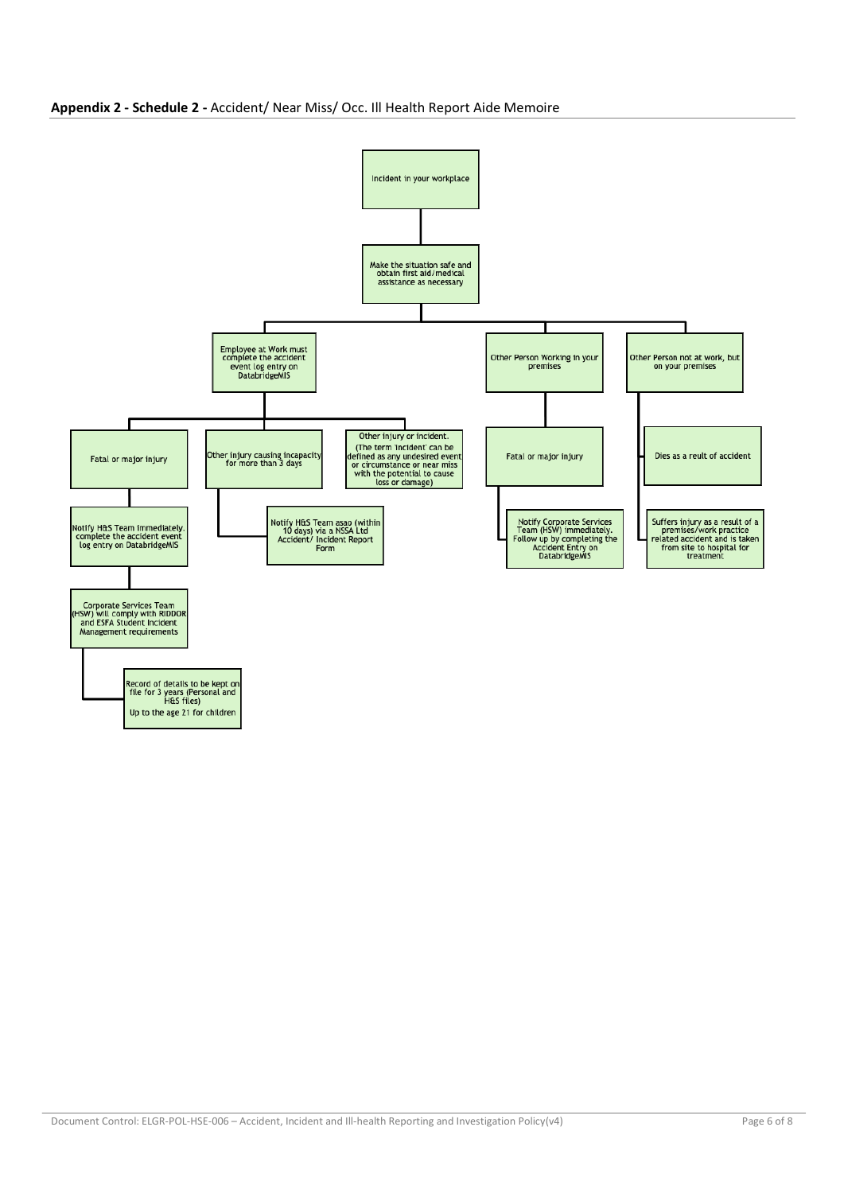

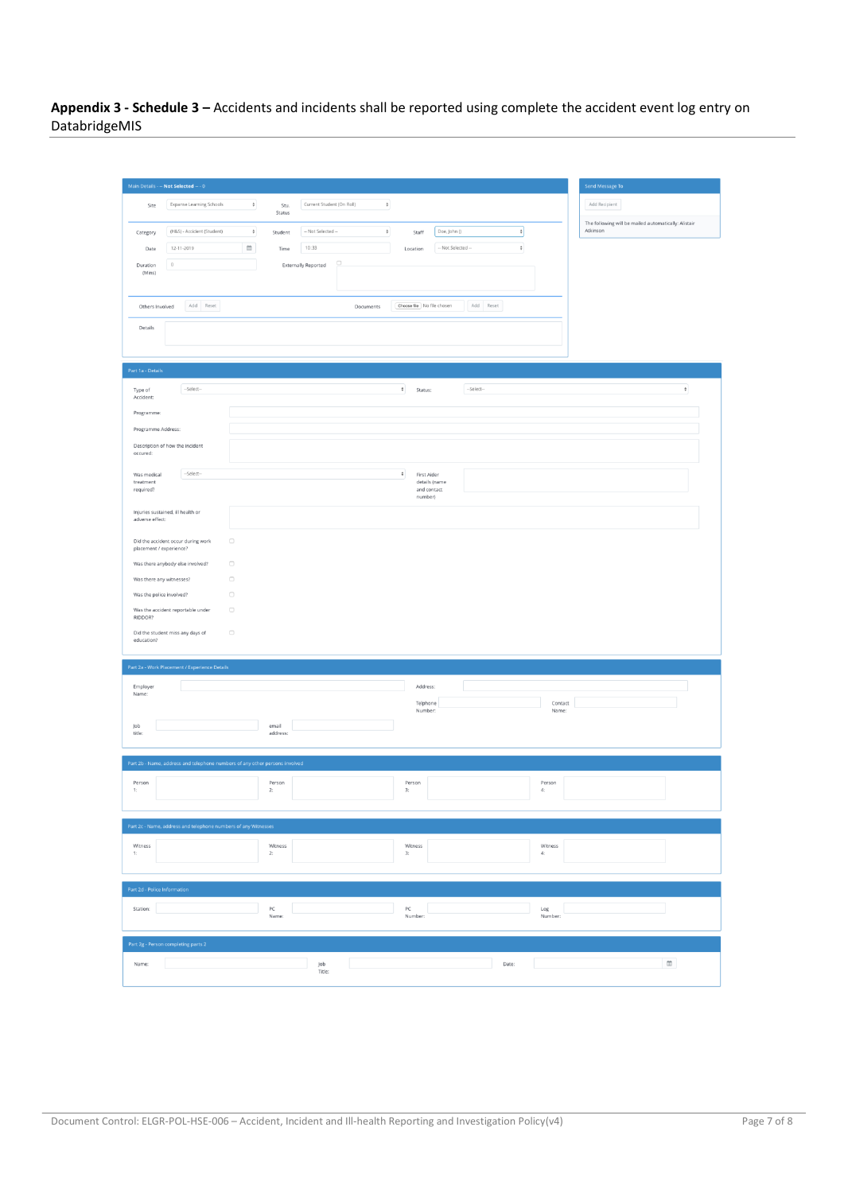**Appendix 3 - Schedule 3 –** Accidents and incidents shall be reported using complete the accident event log entry on DatabridgeMIS

|                              | Main Details - -- Not Selected -- - 0                                       |                                |                            |                                                    |                                      | Send Message To                                                  |
|------------------------------|-----------------------------------------------------------------------------|--------------------------------|----------------------------|----------------------------------------------------|--------------------------------------|------------------------------------------------------------------|
| Site                         | Expanse Learning Schools                                                    | $\div$<br>Stu.<br>Status       | Current Student (On Roll)  | $\ddot{}$                                          |                                      | Add Recipient                                                    |
| Category                     | (H&S) - Accident (Student)                                                  | $\ddot{\mathbf{v}}$<br>Student | -- Not Selected --         | $\ddagger$<br>Doe, John ()<br>Staff                | $\ddot{\phantom{0}}$                 | The following will be mailed automatically: Alistair<br>Atkinson |
| Date                         | 12-11-2019                                                                  | $\hfill\blacksquare$<br>Time   | 10:33                      | Location                                           | $\ddot{\circ}$<br>-- Not Selected -- |                                                                  |
| Duration<br>(Mins)           | $\circ$                                                                     |                                | <b>Externally Reported</b> |                                                    |                                      |                                                                  |
| Others Involved              | Add Reset                                                                   |                                | Documents                  | Choose file No file chosen                         | Add Reset                            |                                                                  |
| Details                      |                                                                             |                                |                            |                                                    |                                      |                                                                  |
| Part 1a - Details            |                                                                             |                                |                            |                                                    |                                      |                                                                  |
| Type of<br>Accident:         | --Select--                                                                  |                                |                            | $\div$<br>Status:                                  | --Select-                            | $\ddot{\mathbf{v}}$                                              |
| Programme:                   |                                                                             |                                |                            |                                                    |                                      |                                                                  |
| Programme Address:           |                                                                             |                                |                            |                                                    |                                      |                                                                  |
| occured:                     | Description of how the incident                                             |                                |                            |                                                    |                                      |                                                                  |
| Was medical<br>treatment     | --Select--                                                                  |                                |                            | $\hat{\mathbf{v}}$<br>First Aider<br>details (name |                                      |                                                                  |
| required?                    |                                                                             |                                |                            | and contact<br>number)                             |                                      |                                                                  |
| adverse effect:              | Injuries sustained, ill health or                                           |                                |                            |                                                    |                                      |                                                                  |
| placement / experience?      | Did the accident occur during work                                          | $\Box$                         |                            |                                                    |                                      |                                                                  |
|                              | Was there anybody else involved?                                            | $\Box$                         |                            |                                                    |                                      |                                                                  |
| Was there any witnesses?     |                                                                             | $\Box$                         |                            |                                                    |                                      |                                                                  |
| Was the police involved?     | Was the accident reportable under                                           | $\Box$<br>$\Box$               |                            |                                                    |                                      |                                                                  |
| RIDDOR?                      |                                                                             | $\Box$                         |                            |                                                    |                                      |                                                                  |
| education?                   | Did the student miss any days of                                            |                                |                            |                                                    |                                      |                                                                  |
|                              | Part 2a - Work Placement / Experience Details                               |                                |                            |                                                    |                                      |                                                                  |
| Employer<br>Name:            |                                                                             |                                |                            | Address:                                           |                                      |                                                                  |
|                              |                                                                             |                                |                            | Telphone<br>Number:                                | Contact<br>Name:                     |                                                                  |
| Job<br>title:                |                                                                             | email<br>address:              |                            |                                                    |                                      |                                                                  |
|                              |                                                                             |                                |                            |                                                    |                                      |                                                                  |
|                              | Part 2b - Name, address and telephone numbers of any other persons involved |                                |                            |                                                    |                                      |                                                                  |
| Person<br>1:                 |                                                                             | Person<br>2:                   |                            | Person<br>3:                                       | Person<br>4:                         |                                                                  |
|                              |                                                                             |                                |                            |                                                    |                                      |                                                                  |
|                              | Part 2c - Name, address and telephone numbers of any Witnesses              |                                |                            |                                                    |                                      |                                                                  |
| Witness<br>1:                |                                                                             | Witness<br>2:                  |                            | Witness<br>3:                                      | Witness<br>$\mathbf{4}$              |                                                                  |
|                              |                                                                             |                                |                            |                                                    |                                      |                                                                  |
| Part 2d - Police Information |                                                                             |                                |                            |                                                    |                                      |                                                                  |
| Station:                     |                                                                             | PC<br>Name:                    |                            | PC<br>Number:                                      | Log<br>Number:                       |                                                                  |
|                              | Part 2g - Person completing parts 2                                         |                                |                            |                                                    |                                      |                                                                  |
| Name:                        |                                                                             |                                | Job                        |                                                    | Date:                                | $\widehat{\text{m}}$                                             |
|                              |                                                                             |                                | Title:                     |                                                    |                                      |                                                                  |